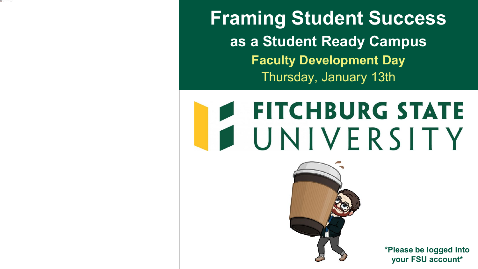**Framing Student Success as a Student Ready Campus Faculty Development Day** Thursday, January 13th

## **FITCHBURG STATE** UNIVERSITY



**\*Please be logged into your FSU account\***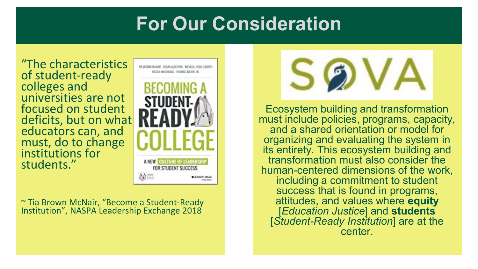### **For Our Consideration**

"The characteristics of student-ready colleges and universities are not focused on student deficits, but on what educators can, and must, do to change institutions for students."



~ Tia Brown McNair, "Become a Student-Ready Institution", NASPA Leadership Exchange 2018



Ecosystem building and transformation must include policies, programs, capacity, and a shared orientation or model for organizing and evaluating the system in its entirety. This ecosystem building and transformation must also consider the human-centered dimensions of the work, including a commitment to student success that is found in programs, attitudes, and values where **equity** [*Education Justice*] and **students** [*Student-Ready Institution*] are at the center.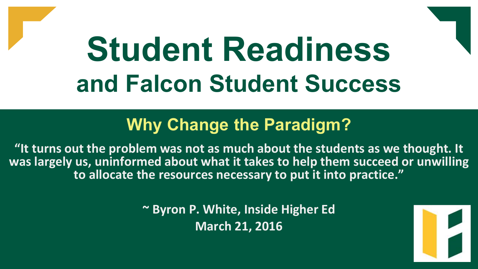# **Student Readiness and Falcon Student Success**

### **Why Change the Paradigm?**

**"It turns out the problem was not as much about the students as we thought. It was largely us, uninformed about what it takes to help them succeed or unwilling to allocate the resources necessary to put it into practice."**

> **~ Byron P. White, Inside Higher Ed March 21, 2016**

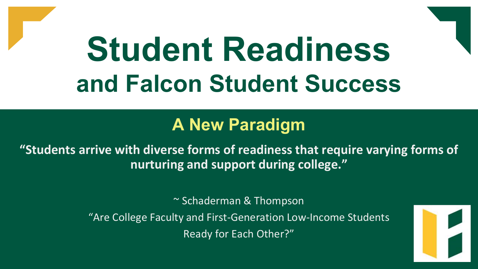# **Student Readiness and Falcon Student Success**

#### **A New Paradigm**

**"Students arrive with diverse forms of readiness that require varying forms of nurturing and support during college."**

~ Schaderman & Thompson

"Are College Faculty and First-Generation Low-Income Students Ready for Each Other?"

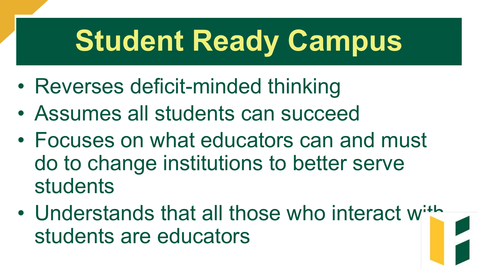# **Student Ready Campus**

- Reverses deficit-minded thinking
- Assumes all students can succeed
- Focuses on what educators can and must do to change institutions to better serve students
- Understands that all those who interact with students are educators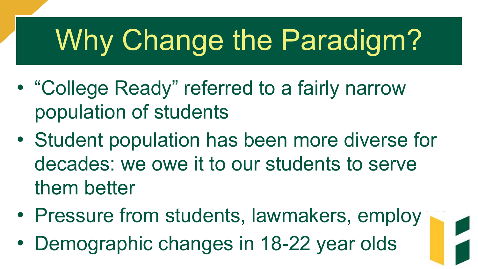# Why Change the Paradigm?

- "College Ready" referred to a fairly narrow population of students
- Student population has been more diverse for decades: we owe it to our students to serve them better
- Pressure from students, lawmakers, employ
- Demographic changes in 18-22 year olds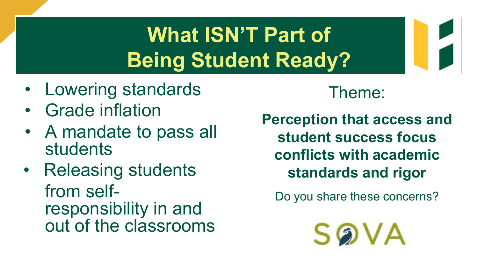## **What ISN'T Part of Being Student Ready?**

- Lowering standards
- Grade inflation
- A mandate to pass all students
- Releasing students from self- responsibility in and out of the classrooms

#### Theme:

**Perception that access and student success focus conflicts with academic standards and rigor**

Do you share these concerns?

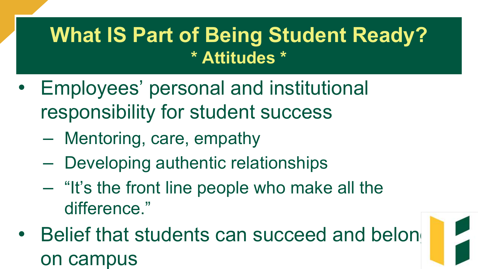## **What IS Part of Being Student Ready? \* Attitudes \***

- Employees' personal and institutional responsibility for student success
	- Mentoring, care, empathy
	- Developing authentic relationships
	- "It's the front line people who make all the difference."
- Belief that students can succeed and belon on campus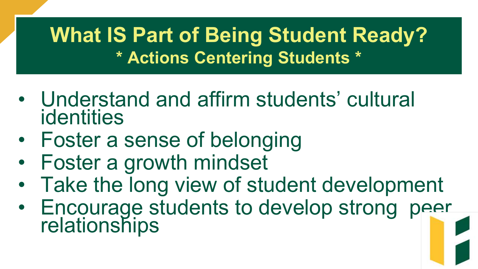## **What IS Part of Being Student Ready? \* Actions Centering Students \***

- Understand and affirm students' cultural identities
- Foster a sense of belonging
- Foster a growth mindset
- Take the long view of student development
- Encourage students to develop strong peer relationships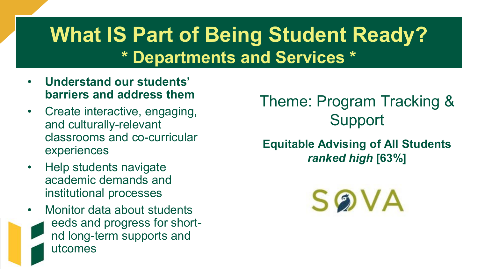## **What IS Part of Being Student Ready? \* Departments and Services \***

- **Understand our students' barriers and address them**
- Create interactive, engaging, and culturally-relevant classrooms and co-curricular experiences
- Help students navigate academic demands and institutional processes
- Monitor data about students eeds and progress for shortnd long-term supports and utcomes

Theme: Program Tracking & Support

#### **Equitable Advising of All Students**  *ranked high* **[63%]**

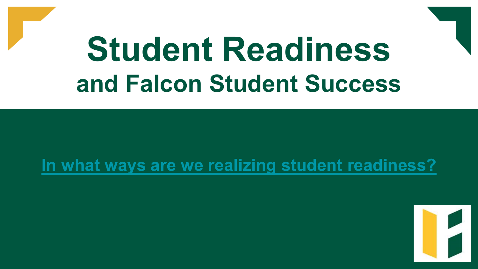# **Student Readiness and Falcon Student Success**

#### **[In what ways are we realizing student readiness?](https://jamboard.google.com/d/1Fxz4vk9xGGbDIaDVlN4Jn7eJMWWquxgiSuPzsQubCSE/edit?usp=sharing)**

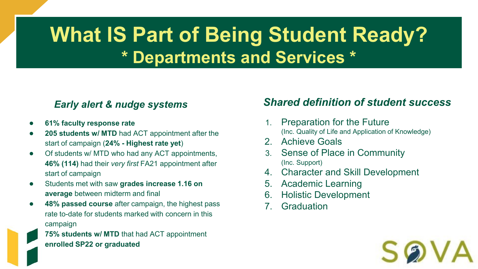## **What IS Part of Being Student Ready? \* Departments and Services \***

#### *Early alert & nudge systems*

- **61% faculty response rate**
- 205 students w/ MTD had ACT appointment after the start of campaign (**24% - Highest rate yet**)
- Of students w/ MTD who had any ACT appointments, **46% (114)** had their *very first* FA21 appointment after start of campaign
- Students met with saw **grades increase 1.16 on average** between midterm and final
- 48% passed course after campaign, the highest pass rate to-date for students marked with concern in this campaign

75% students w/ MTD that had ACT appointment **enrolled SP22 or graduated**

#### *Shared definition of student success*

- 1. Preparation for the Future (Inc. Quality of Life and Application of Knowledge)
- 2. Achieve Goals
- 3. Sense of Place in Community (Inc. Support)
- 4. Character and Skill Development
- 5. Academic Learning
- 6. Holistic Development
- 7. Graduation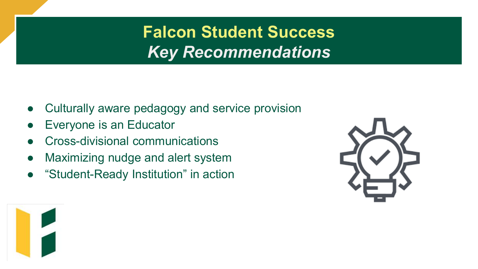**Falcon Student Success** *Key Recommendations*

- Culturally aware pedagogy and service provision
- **Everyone is an Educator**
- Cross-divisional communications
- Maximizing nudge and alert system
- "Student-Ready Institution" in action



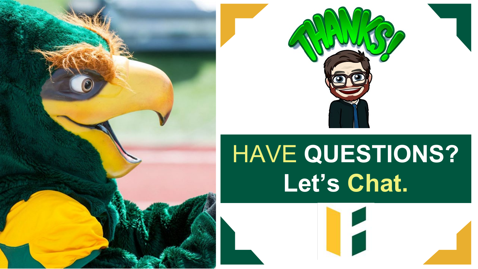



## HAVE **QUESTIONS? Let's Chat.**